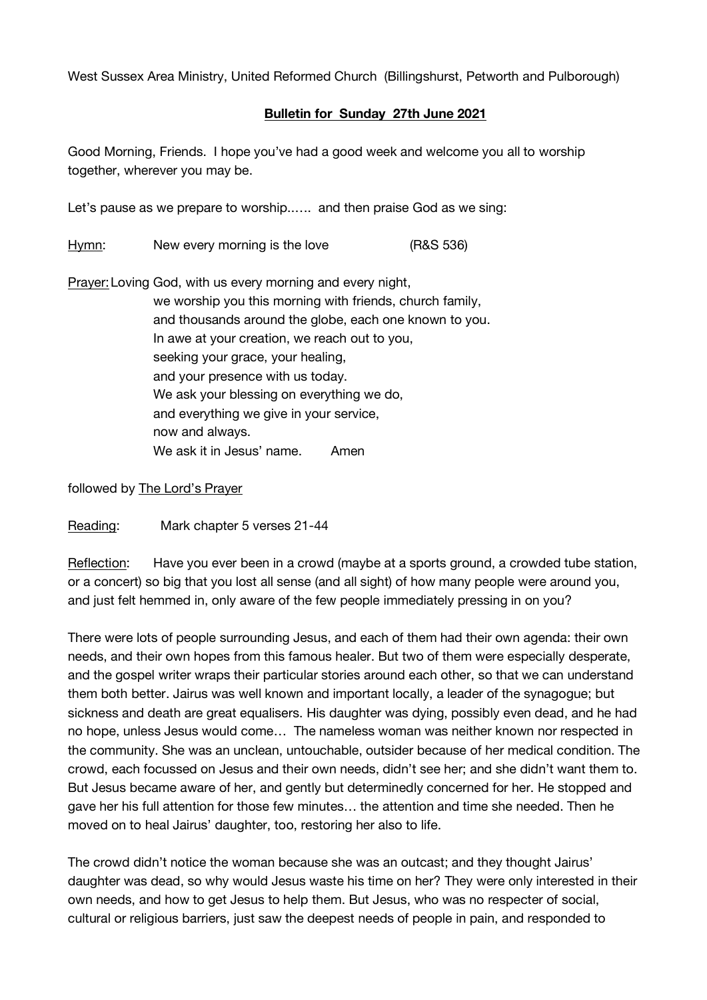West Sussex Area Ministry, United Reformed Church (Billingshurst, Petworth and Pulborough)

## **Bulletin for Sunday 27th June 2021**

Good Morning, Friends. I hope you've had a good week and welcome you all to worship together, wherever you may be.

Let's pause as we prepare to worship..…. and then praise God as we sing:

Hymn: New every morning is the love (R&S 536)

Prayer:Loving God, with us every morning and every night, we worship you this morning with friends, church family, and thousands around the globe, each one known to you. In awe at your creation, we reach out to you, seeking your grace, your healing, and your presence with us today. We ask your blessing on everything we do, and everything we give in your service, now and always. We ask it in Jesus' name. Amen

followed by The Lord's Prayer

Reading: Mark chapter 5 verses 21-44

Reflection: Have you ever been in a crowd (maybe at a sports ground, a crowded tube station, or a concert) so big that you lost all sense (and all sight) of how many people were around you, and just felt hemmed in, only aware of the few people immediately pressing in on you?

There were lots of people surrounding Jesus, and each of them had their own agenda: their own needs, and their own hopes from this famous healer. But two of them were especially desperate, and the gospel writer wraps their particular stories around each other, so that we can understand them both better. Jairus was well known and important locally, a leader of the synagogue; but sickness and death are great equalisers. His daughter was dying, possibly even dead, and he had no hope, unless Jesus would come… The nameless woman was neither known nor respected in the community. She was an unclean, untouchable, outsider because of her medical condition. The crowd, each focussed on Jesus and their own needs, didn't see her; and she didn't want them to. But Jesus became aware of her, and gently but determinedly concerned for her. He stopped and gave her his full attention for those few minutes… the attention and time she needed. Then he moved on to heal Jairus' daughter, too, restoring her also to life.

The crowd didn't notice the woman because she was an outcast; and they thought Jairus' daughter was dead, so why would Jesus waste his time on her? They were only interested in their own needs, and how to get Jesus to help them. But Jesus, who was no respecter of social, cultural or religious barriers, just saw the deepest needs of people in pain, and responded to